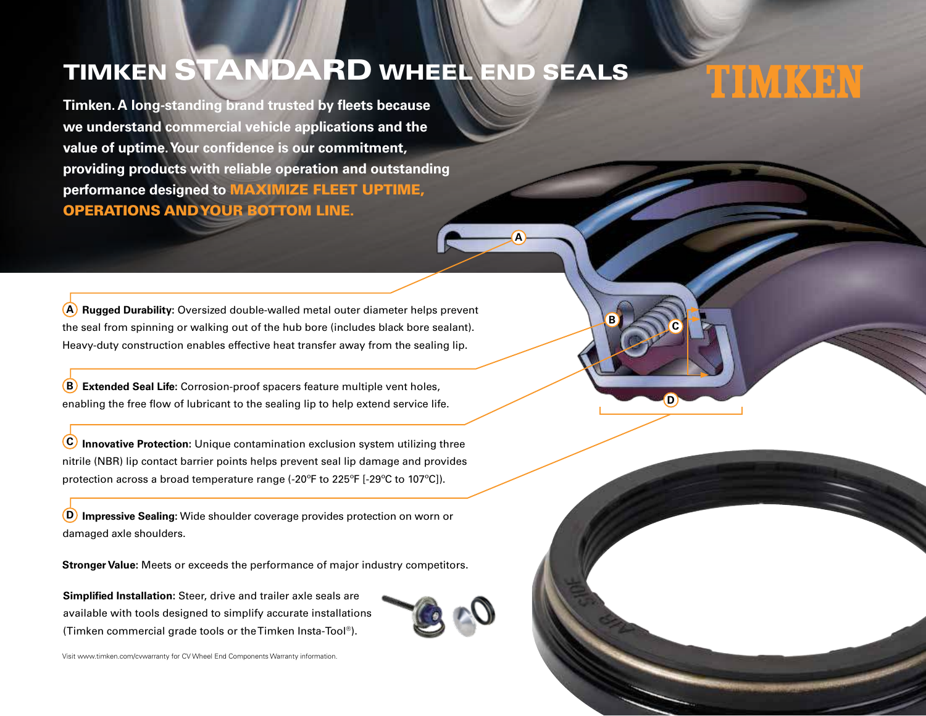## TIMKEN STANDARD WHEEL END SEALS

**Timken. A long-standing brand trusted by fleets because we understand commercial vehicle applications and the value of uptime. Your confidence is our commitment, providing products with reliable operation and outstanding performance designed to** MAXIMIZE FLEET UPTIME, OPERATIONS AND YOUR BOTTOM LINE.

**Rugged Durability:** Oversized double-walled metal outer diameter helps prevent **A** the seal from spinning or walking out of the hub bore (includes black bore sealant). Heavy-duty construction enables effective heat transfer away from the sealing lip.

**Extended Seal Life:** Corrosion-proof spacers feature multiple vent holes, **B** enabling the free flow of lubricant to the sealing lip to help extend service life.

**Innovative Protection:** Unique contamination exclusion system utilizing three **C** nitrile (NBR) lip contact barrier points helps prevent seal lip damage and provides protection across a broad temperature range (-20ºF to 225ºF [-29ºC to 107ºC]).

**Impressive Sealing:** Wide shoulder coverage provides protection on worn or **D** damaged axle shoulders.

**Stronger Value:** Meets or exceeds the performance of major industry competitors.

**Simplified Installation:** Steer, drive and trailer axle seals are available with tools designed to simplify accurate installations (Timken commercial grade tools or the Timken Insta-Tool®).





**D**

**C**

TIMKEN

**B**

**A**